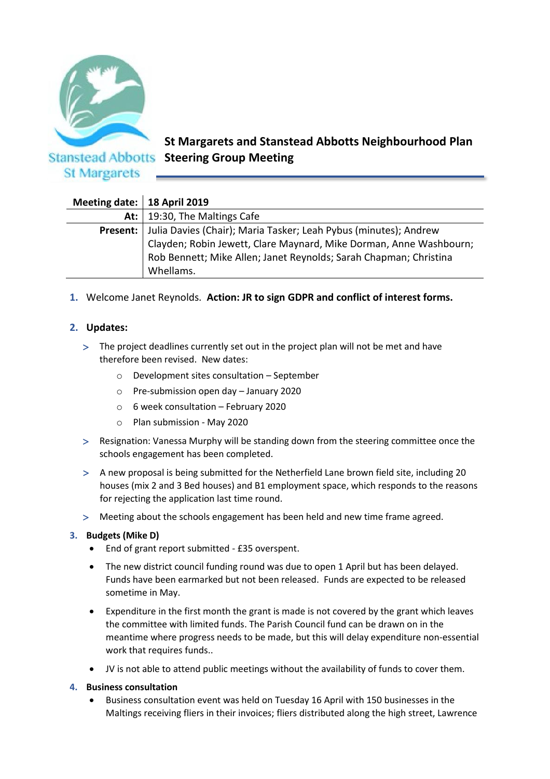

**St Margarets and Stanstead Abbotts Neighbourhood Plan Stanstead Abbotts Steering Group Meeting** 

| Meeting date:   18 April 2019 |                                                                    |
|-------------------------------|--------------------------------------------------------------------|
| At: $\vert$                   | 19:30, The Maltings Cafe                                           |
| Present:                      | Julia Davies (Chair); Maria Tasker; Leah Pybus (minutes); Andrew   |
|                               | Clayden; Robin Jewett, Clare Maynard, Mike Dorman, Anne Washbourn; |
|                               | Rob Bennett; Mike Allen; Janet Reynolds; Sarah Chapman; Christina  |
|                               | Whellams.                                                          |

# **1.** Welcome Janet Reynolds. **Action: JR to sign GDPR and conflict of interest forms.**

## **2. Updates:**

- The project deadlines currently set out in the project plan will not be met and have therefore been revised. New dates:
	- o Development sites consultation September
	- o Pre-submission open day January 2020
	- o 6 week consultation February 2020
	- o Plan submission May 2020
- Resignation: Vanessa Murphy will be standing down from the steering committee once the schools engagement has been completed.
- A new proposal is being submitted for the Netherfield Lane brown field site, including 20 houses (mix 2 and 3 Bed houses) and B1 employment space, which responds to the reasons for rejecting the application last time round.
- Meeting about the schools engagement has been held and new time frame agreed.

### **3. Budgets (Mike D)**

- End of grant report submitted £35 overspent.
- The new district council funding round was due to open 1 April but has been delayed. Funds have been earmarked but not been released. Funds are expected to be released sometime in May.
- Expenditure in the first month the grant is made is not covered by the grant which leaves the committee with limited funds. The Parish Council fund can be drawn on in the meantime where progress needs to be made, but this will delay expenditure non-essential work that requires funds..
- JV is not able to attend public meetings without the availability of funds to cover them.

#### **4. Business consultation**

• Business consultation event was held on Tuesday 16 April with 150 businesses in the Maltings receiving fliers in their invoices; fliers distributed along the high street, Lawrence